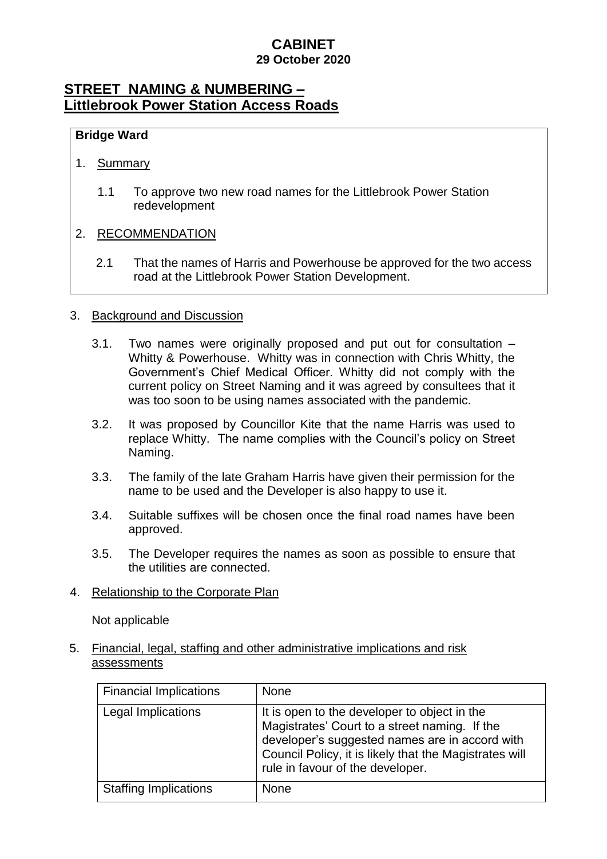### **CABINET 29 October 2020**

## **STREET NAMING & NUMBERING – Littlebrook Power Station Access Roads**

### **Bridge Ward**

#### 1. Summary

1.1 To approve two new road names for the Littlebrook Power Station redevelopment

#### 2. RECOMMENDATION

2.1 That the names of Harris and Powerhouse be approved for the two access road at the Littlebrook Power Station Development.

#### 3. Background and Discussion

- 3.1. Two names were originally proposed and put out for consultation Whitty & Powerhouse. Whitty was in connection with Chris Whitty, the Government's Chief Medical Officer. Whitty did not comply with the current policy on Street Naming and it was agreed by consultees that it was too soon to be using names associated with the pandemic.
- 3.2. It was proposed by Councillor Kite that the name Harris was used to replace Whitty. The name complies with the Council's policy on Street Naming.
- 3.3. The family of the late Graham Harris have given their permission for the name to be used and the Developer is also happy to use it.
- 3.4. Suitable suffixes will be chosen once the final road names have been approved.
- 3.5. The Developer requires the names as soon as possible to ensure that the utilities are connected.
- 4. Relationship to the Corporate Plan

Not applicable

5. Financial, legal, staffing and other administrative implications and risk assessments

| <b>Financial Implications</b> | None                                                                                                                                                                                                                                          |
|-------------------------------|-----------------------------------------------------------------------------------------------------------------------------------------------------------------------------------------------------------------------------------------------|
| Legal Implications            | It is open to the developer to object in the<br>Magistrates' Court to a street naming. If the<br>developer's suggested names are in accord with<br>Council Policy, it is likely that the Magistrates will<br>rule in favour of the developer. |
| <b>Staffing Implications</b>  | <b>None</b>                                                                                                                                                                                                                                   |